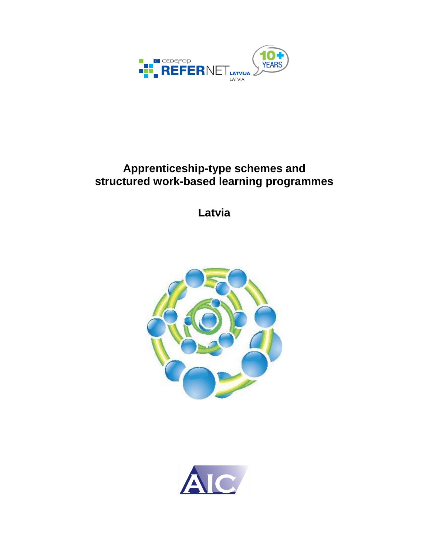

# **Apprenticeship-type schemes and structured work-based learning programmes**

**Latvia**



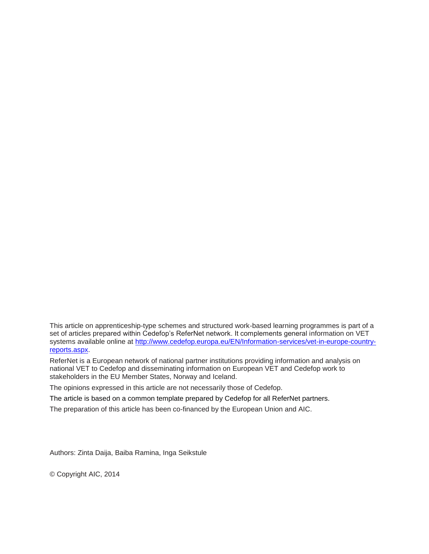This article on apprenticeship-type schemes and structured work-based learning programmes is part of a set of articles prepared within Cedefop's ReferNet network. It complements general information on VET systems available online at [http://www.cedefop.europa.eu/EN/Information-services/vet-in-europe-country](http://www.cedefop.europa.eu/EN/Information-services/vet-in-europe-country-reports.aspx)[reports.aspx.](http://www.cedefop.europa.eu/EN/Information-services/vet-in-europe-country-reports.aspx)

ReferNet is a European network of national partner institutions providing information and analysis on national VET to Cedefop and disseminating information on European VET and Cedefop work to stakeholders in the EU Member States, Norway and Iceland.

The opinions expressed in this article are not necessarily those of Cedefop.

The article is based on a common template prepared by Cedefop for all ReferNet partners.

The preparation of this article has been co-financed by the European Union and AIC.

Authors: Zinta Daija, Baiba Ramina, Inga Seikstule

© Copyright AIC, 2014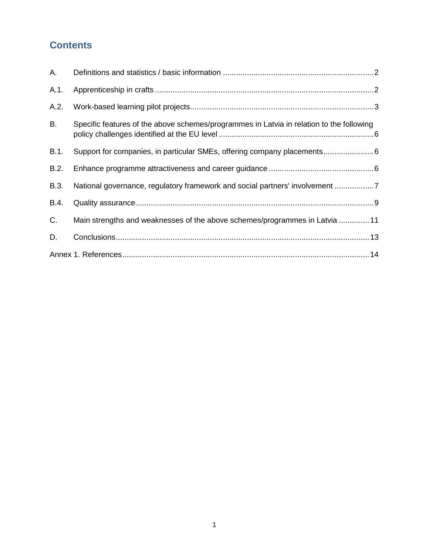## **Contents**

| Α.   |                                                                                          |  |
|------|------------------------------------------------------------------------------------------|--|
| A.1. |                                                                                          |  |
| A.2. |                                                                                          |  |
| В.   | Specific features of the above schemes/programmes in Latvia in relation to the following |  |
| B.1. | Support for companies, in particular SMEs, offering company placements 6                 |  |
| B.2. |                                                                                          |  |
| B.3. | National governance, regulatory framework and social partners' involvement 7             |  |
| B.4. |                                                                                          |  |
| C.   | Main strengths and weaknesses of the above schemes/programmes in Latvia 11               |  |
| D.   |                                                                                          |  |
|      |                                                                                          |  |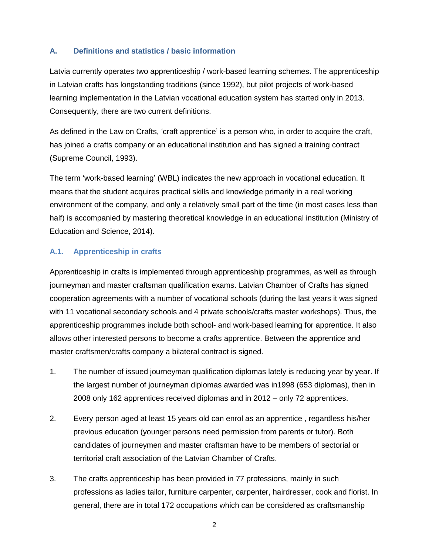### <span id="page-3-0"></span>**A. Definitions and statistics / basic information**

Latvia currently operates two apprenticeship / work-based learning schemes. The apprenticeship in Latvian crafts has longstanding traditions (since 1992), but pilot projects of work-based learning implementation in the Latvian vocational education system has started only in 2013. Consequently, there are two current definitions.

As defined in the Law on Crafts, 'craft apprentice' is a person who, in order to acquire the craft, has joined a crafts company or an educational institution and has signed a training contract (Supreme Council, 1993).

The term 'work-based learning' (WBL) indicates the new approach in vocational education. It means that the student acquires practical skills and knowledge primarily in a real working environment of the company, and only a relatively small part of the time (in most cases less than half) is accompanied by mastering theoretical knowledge in an educational institution (Ministry of Education and Science, 2014).

#### <span id="page-3-1"></span>**A.1. Apprenticeship in crafts**

Apprenticeship in crafts is implemented through apprenticeship programmes, as well as through journeyman and master craftsman qualification exams. Latvian Chamber of Crafts has signed cooperation agreements with a number of vocational schools (during the last years it was signed with 11 vocational secondary schools and 4 private schools/crafts master workshops). Thus, the apprenticeship programmes include both school- and work-based learning for apprentice. It also allows other interested persons to become a crafts apprentice. Between the apprentice and master craftsmen/crafts company a bilateral contract is signed.

- 1. The number of issued journeyman qualification diplomas lately is reducing year by year. If the largest number of journeyman diplomas awarded was in1998 (653 diplomas), then in 2008 only 162 apprentices received diplomas and in 2012 – only 72 apprentices.
- 2. Every person aged at least 15 years old can enrol as an apprentice , regardless his/her previous education (younger persons need permission from parents or tutor). Both candidates of journeymen and master craftsman have to be members of sectorial or territorial craft association of the Latvian Chamber of Crafts.
- 3. The crafts apprenticeship has been provided in 77 professions, mainly in such professions as ladies tailor, furniture carpenter, carpenter, hairdresser, cook and florist. In general, there are in total 172 occupations which can be considered as craftsmanship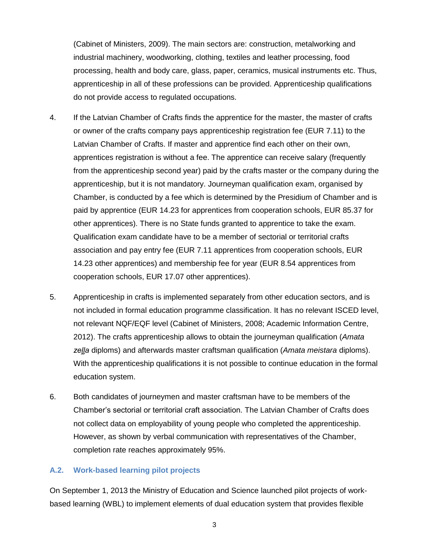(Cabinet of Ministers, 2009). The main sectors are: construction, metalworking and industrial machinery, woodworking, clothing, textiles and leather processing, food processing, health and body care, glass, paper, ceramics, musical instruments etc. Thus, apprenticeship in all of these professions can be provided. Apprenticeship qualifications do not provide access to regulated occupations.

- 4. If the Latvian Chamber of Crafts finds the apprentice for the master, the master of crafts or owner of the crafts company pays apprenticeship registration fee (EUR 7.11) to the Latvian Chamber of Crafts. If master and apprentice find each other on their own, apprentices registration is without a fee. The apprentice can receive salary (frequently from the apprenticeship second year) paid by the crafts master or the company during the apprenticeship, but it is not mandatory. Journeyman qualification exam, organised by Chamber, is conducted by a fee which is determined by the Presidium of Chamber and is paid by apprentice (EUR 14.23 for apprentices from cooperation schools, EUR 85.37 for other apprentices). There is no State funds granted to apprentice to take the exam. Qualification exam candidate have to be a member of sectorial or territorial crafts association and pay entry fee (EUR 7.11 apprentices from cooperation schools, EUR 14.23 other apprentices) and membership fee for year (EUR 8.54 apprentices from cooperation schools, EUR 17.07 other apprentices).
- 5. Apprenticeship in crafts is implemented separately from other education sectors, and is not included in formal education programme classification. It has no relevant ISCED level, not relevant NQF/EQF level (Cabinet of Ministers, 2008; Academic Information Centre, 2012). The crafts apprenticeship allows to obtain the journeyman qualification (*Amata zeļļa* diploms) and afterwards master craftsman qualification (*Amata meistara* diploms). With the apprenticeship qualifications it is not possible to continue education in the formal education system.
- 6. Both candidates of journeymen and master craftsman have to be members of the Chamber's sectorial or territorial craft association. The Latvian Chamber of Crafts does not collect data on employability of young people who completed the apprenticeship. However, as shown by verbal communication with representatives of the Chamber, completion rate reaches approximately 95%.

#### <span id="page-4-0"></span>**A.2. Work-based learning pilot projects**

On September 1, 2013 the Ministry of Education and Science launched pilot projects of workbased learning (WBL) to implement elements of dual education system that provides flexible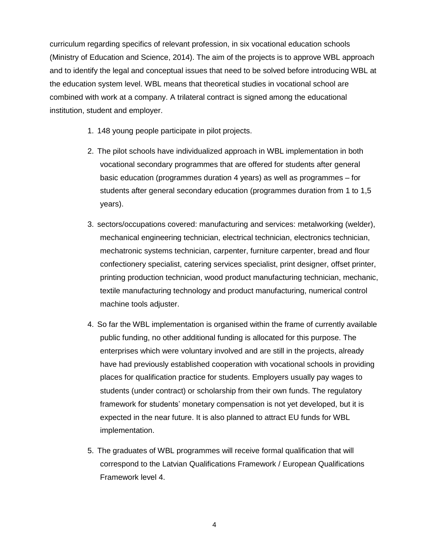curriculum regarding specifics of relevant profession, in six vocational education schools (Ministry of Education and Science, 2014). The aim of the projects is to approve WBL approach and to identify the legal and conceptual issues that need to be solved before introducing WBL at the education system level. WBL means that theoretical studies in vocational school are combined with work at a company. A trilateral contract is signed among the educational institution, student and employer.

- 1. 148 young people participate in pilot projects.
- 2. The pilot schools have individualized approach in WBL implementation in both vocational secondary programmes that are offered for students after general basic education (programmes duration 4 years) as well as programmes – for students after general secondary education (programmes duration from 1 to 1,5 years).
- 3. sectors/occupations covered: manufacturing and services: metalworking (welder), mechanical engineering technician, electrical technician, electronics technician, mechatronic systems technician, carpenter, furniture carpenter, bread and flour confectionery specialist, catering services specialist, print designer, offset printer, printing production technician, wood product manufacturing technician, mechanic, textile manufacturing technology and product manufacturing, numerical control machine tools adjuster.
- 4. So far the WBL implementation is organised within the frame of currently available public funding, no other additional funding is allocated for this purpose. The enterprises which were voluntary involved and are still in the projects, already have had previously established cooperation with vocational schools in providing places for qualification practice for students. Employers usually pay wages to students (under contract) or scholarship from their own funds. The regulatory framework for students' monetary compensation is not yet developed, but it is expected in the near future. It is also planned to attract EU funds for WBL implementation.
- 5. The graduates of WBL programmes will receive formal qualification that will correspond to the Latvian Qualifications Framework / European Qualifications Framework level 4.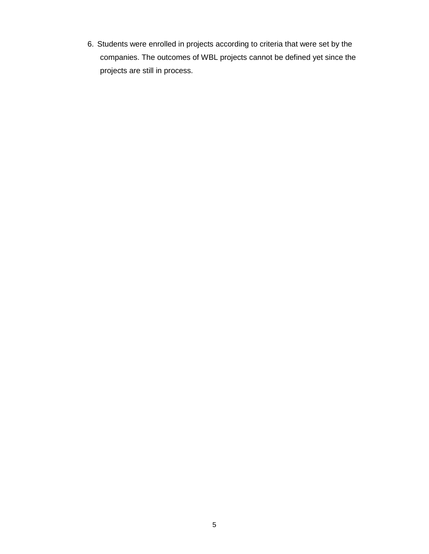6. Students were enrolled in projects according to criteria that were set by the companies. The outcomes of WBL projects cannot be defined yet since the projects are still in process.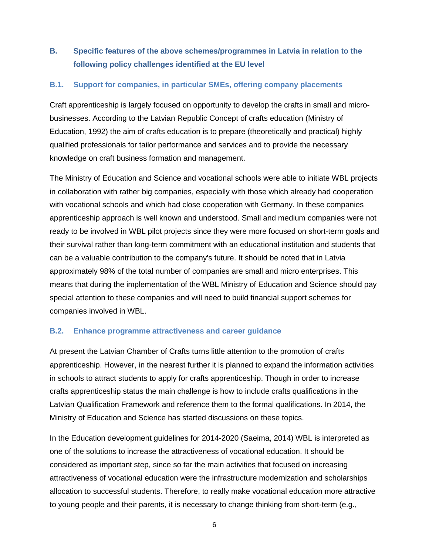## <span id="page-7-0"></span>**B. Specific features of the above schemes/programmes in Latvia in relation to the following policy challenges identified at the EU level**

#### <span id="page-7-1"></span>**B.1. Support for companies, in particular SMEs, offering company placements**

Craft apprenticeship is largely focused on opportunity to develop the crafts in small and microbusinesses. According to the Latvian Republic Concept of crafts education (Ministry of Education, 1992) the aim of crafts education is to prepare (theoretically and practical) highly qualified professionals for tailor performance and services and to provide the necessary knowledge on craft business formation and management.

The Ministry of Education and Science and vocational schools were able to initiate WBL projects in collaboration with rather big companies, especially with those which already had cooperation with vocational schools and which had close cooperation with Germany. In these companies apprenticeship approach is well known and understood. Small and medium companies were not ready to be involved in WBL pilot projects since they were more focused on short-term goals and their survival rather than long-term commitment with an educational institution and students that can be a valuable contribution to the company's future. It should be noted that in Latvia approximately 98% of the total number of companies are small and micro enterprises. This means that during the implementation of the WBL Ministry of Education and Science should pay special attention to these companies and will need to build financial support schemes for companies involved in WBL.

### <span id="page-7-2"></span>**B.2. Enhance programme attractiveness and career guidance**

At present the Latvian Chamber of Crafts turns little attention to the promotion of crafts apprenticeship. However, in the nearest further it is planned to expand the information activities in schools to attract students to apply for crafts apprenticeship. Though in order to increase crafts apprenticeship status the main challenge is how to include crafts qualifications in the Latvian Qualification Framework and reference them to the formal qualifications. In 2014, the Ministry of Education and Science has started discussions on these topics.

In the Education development guidelines for 2014-2020 (Saeima, 2014) WBL is interpreted as one of the solutions to increase the attractiveness of vocational education. It should be considered as important step, since so far the main activities that focused on increasing attractiveness of vocational education were the infrastructure modernization and scholarships allocation to successful students. Therefore, to really make vocational education more attractive to young people and their parents, it is necessary to change thinking from short-term (e.g.,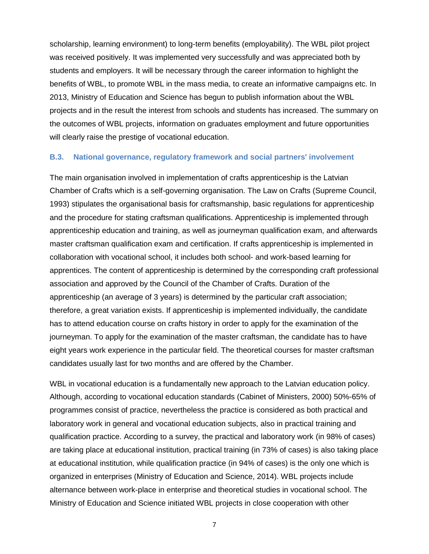scholarship, learning environment) to long-term benefits (employability). The WBL pilot project was received positively. It was implemented very successfully and was appreciated both by students and employers. It will be necessary through the career information to highlight the benefits of WBL, to promote WBL in the mass media, to create an informative campaigns etc. In 2013, Ministry of Education and Science has begun to publish information about the WBL projects and in the result the interest from schools and students has increased. The summary on the outcomes of WBL projects, information on graduates employment and future opportunities will clearly raise the prestige of vocational education.

#### <span id="page-8-0"></span>**B.3. National governance, regulatory framework and social partners' involvement**

The main organisation involved in implementation of crafts apprenticeship is the Latvian Chamber of Crafts which is a self-governing organisation. The Law on Crafts (Supreme Council, 1993) stipulates the organisational basis for craftsmanship, basic regulations for apprenticeship and the procedure for stating craftsman qualifications. Apprenticeship is implemented through apprenticeship education and training, as well as journeyman qualification exam, and afterwards master craftsman qualification exam and certification. If crafts apprenticeship is implemented in collaboration with vocational school, it includes both school- and work-based learning for apprentices. The content of apprenticeship is determined by the corresponding craft professional association and approved by the Council of the Chamber of Crafts. Duration of the apprenticeship (an average of 3 years) is determined by the particular craft association; therefore, a great variation exists. If apprenticeship is implemented individually, the candidate has to attend education course on crafts history in order to apply for the examination of the journeyman. To apply for the examination of the master craftsman, the candidate has to have eight years work experience in the particular field. The theoretical courses for master craftsman candidates usually last for two months and are offered by the Chamber.

WBL in vocational education is a fundamentally new approach to the Latvian education policy. Although, according to vocational education standards (Cabinet of Ministers, 2000) 50%-65% of programmes consist of practice, nevertheless the practice is considered as both practical and laboratory work in general and vocational education subjects, also in practical training and qualification practice. According to a survey, the practical and laboratory work (in 98% of cases) are taking place at educational institution, practical training (in 73% of cases) is also taking place at educational institution, while qualification practice (in 94% of cases) is the only one which is organized in enterprises (Ministry of Education and Science, 2014). WBL projects include alternance between work-place in enterprise and theoretical studies in vocational school. The Ministry of Education and Science initiated WBL projects in close cooperation with other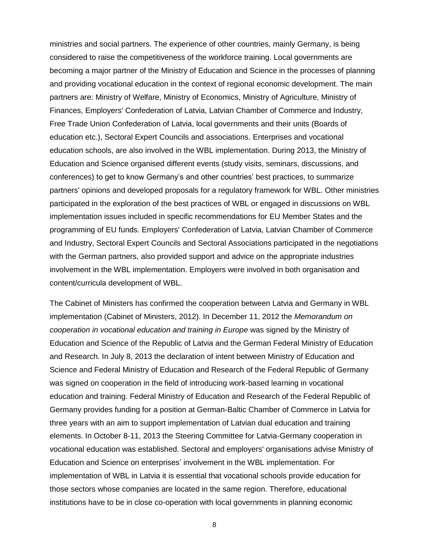ministries and social partners. The experience of other countries, mainly Germany, is being considered to raise the competitiveness of the workforce training. Local governments are becoming a major partner of the Ministry of Education and Science in the processes of planning and providing vocational education in the context of regional economic development. The main partners are: Ministry of Welfare, Ministry of Economics, Ministry of Agriculture, Ministry of Finances, Employers' Confederation of Latvia, Latvian Chamber of Commerce and Industry, Free Trade Union Confederation of Latvia, local governments and their units (Boards of education etc.), Sectoral Expert Councils and associations. Enterprises and vocational education schools, are also involved in the WBL implementation. During 2013, the Ministry of Education and Science organised different events (study visits, seminars, discussions, and conferences) to get to know Germany's and other countries' best practices, to summarize partners' opinions and developed proposals for a regulatory framework for WBL. Other ministries participated in the exploration of the best practices of WBL or engaged in discussions on WBL implementation issues included in specific recommendations for EU Member States and the programming of EU funds. Employers' Confederation of Latvia, Latvian Chamber of Commerce and Industry, Sectoral Expert Councils and Sectoral Associations participated in the negotiations with the German partners, also provided support and advice on the appropriate industries involvement in the WBL implementation. Employers were involved in both organisation and content/curricula development of WBL.

The Cabinet of Ministers has confirmed the cooperation between Latvia and Germany in WBL implementation (Cabinet of Ministers, 2012). In December 11, 2012 the *Memorandum on cooperation in vocational education and training in Europe* was signed by the Ministry of Education and Science of the Republic of Latvia and the German Federal Ministry of Education and Research. In July 8, 2013 the declaration of intent between Ministry of Education and Science and Federal Ministry of Education and Research of the Federal Republic of Germany was signed on cooperation in the field of introducing work-based learning in vocational education and training. Federal Ministry of Education and Research of the Federal Republic of Germany provides funding for a position at German-Baltic Chamber of Commerce in Latvia for three years with an aim to support implementation of Latvian dual education and training elements. In October 8-11, 2013 the Steering Committee for Latvia-Germany cooperation in vocational education was established. Sectoral and employers' organisations advise Ministry of Education and Science on enterprises' involvement in the WBL implementation. For implementation of WBL in Latvia it is essential that vocational schools provide education for those sectors whose companies are located in the same region. Therefore, educational institutions have to be in close co-operation with local governments in planning economic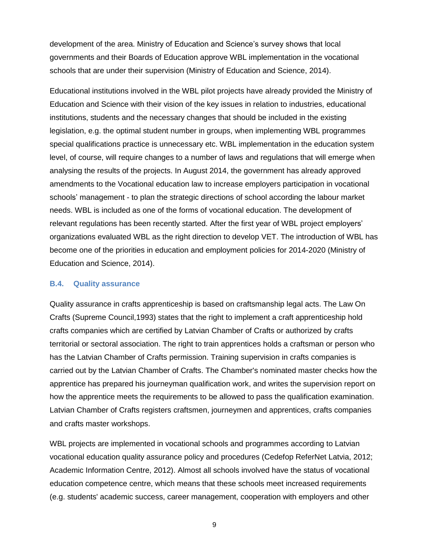development of the area. Ministry of Education and Science's survey shows that local governments and their Boards of Education approve WBL implementation in the vocational schools that are under their supervision (Ministry of Education and Science, 2014).

Educational institutions involved in the WBL pilot projects have already provided the Ministry of Education and Science with their vision of the key issues in relation to industries, educational institutions, students and the necessary changes that should be included in the existing legislation, e.g. the optimal student number in groups, when implementing WBL programmes special qualifications practice is unnecessary etc. WBL implementation in the education system level, of course, will require changes to a number of laws and regulations that will emerge when analysing the results of the projects. In August 2014, the government has already approved amendments to the Vocational education law to increase employers participation in vocational schools' management - to plan the strategic directions of school according the labour market needs. WBL is included as one of the forms of vocational education. The development of relevant regulations has been recently started. After the first year of WBL project employers' organizations evaluated WBL as the right direction to develop VET. The introduction of WBL has become one of the priorities in education and employment policies for 2014-2020 (Ministry of Education and Science, 2014).

#### <span id="page-10-0"></span>**B.4. Quality assurance**

Quality assurance in crafts apprenticeship is based on craftsmanship legal acts. The Law On Crafts (Supreme Council,1993) states that the right to implement a craft apprenticeship hold crafts companies which are certified by Latvian Chamber of Crafts or authorized by crafts territorial or sectoral association. The right to train apprentices holds a craftsman or person who has the Latvian Chamber of Crafts permission. Training supervision in crafts companies is carried out by the Latvian Chamber of Crafts. The Chamber's nominated master checks how the apprentice has prepared his journeyman qualification work, and writes the supervision report on how the apprentice meets the requirements to be allowed to pass the qualification examination. Latvian Chamber of Crafts registers craftsmen, journeymen and apprentices, crafts companies and crafts master workshops.

WBL projects are implemented in vocational schools and programmes according to Latvian vocational education quality assurance policy and procedures (Cedefop ReferNet Latvia, 2012; Academic Information Centre, 2012). Almost all schools involved have the status of vocational education competence centre, which means that these schools meet increased requirements (e.g. students' academic success, career management, cooperation with employers and other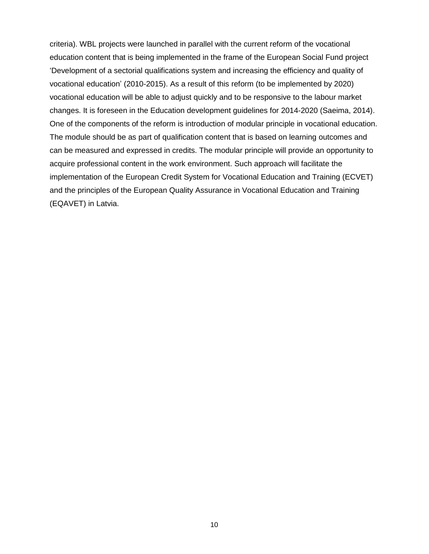criteria). WBL projects were launched in parallel with the current reform of the vocational education content that is being implemented in the frame of the European Social Fund project 'Development of a sectorial qualifications system and increasing the efficiency and quality of vocational education' (2010-2015). As a result of this reform (to be implemented by 2020) vocational education will be able to adjust quickly and to be responsive to the labour market changes. It is foreseen in the Education development guidelines for 2014-2020 (Saeima, 2014). One of the components of the reform is introduction of modular principle in vocational education. The module should be as part of qualification content that is based on learning outcomes and can be measured and expressed in credits. The modular principle will provide an opportunity to acquire professional content in the work environment. Such approach will facilitate the implementation of the European Credit System for Vocational Education and Training (ECVET) and the principles of the European Quality Assurance in Vocational Education and Training (EQAVET) in Latvia.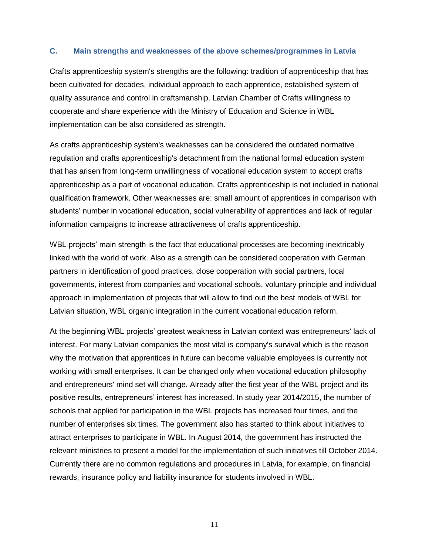#### <span id="page-12-0"></span>**C. Main strengths and weaknesses of the above schemes/programmes in Latvia**

Crafts apprenticeship system's strengths are the following: tradition of apprenticeship that has been cultivated for decades, individual approach to each apprentice, established system of quality assurance and control in craftsmanship. Latvian Chamber of Crafts willingness to cooperate and share experience with the Ministry of Education and Science in WBL implementation can be also considered as strength.

As crafts apprenticeship system's weaknesses can be considered the outdated normative regulation and crafts apprenticeship's detachment from the national formal education system that has arisen from long-term unwillingness of vocational education system to accept crafts apprenticeship as a part of vocational education. Crafts apprenticeship is not included in national qualification framework. Other weaknesses are: small amount of apprentices in comparison with students' number in vocational education, social vulnerability of apprentices and lack of regular information campaigns to increase attractiveness of crafts apprenticeship.

WBL projects' main strength is the fact that educational processes are becoming inextricably linked with the world of work. Also as a strength can be considered cooperation with German partners in identification of good practices, close cooperation with social partners, local governments, interest from companies and vocational schools, voluntary principle and individual approach in implementation of projects that will allow to find out the best models of WBL for Latvian situation, WBL organic integration in the current vocational education reform.

At the beginning WBL projects' greatest weakness in Latvian context was entrepreneurs' lack of interest. For many Latvian companies the most vital is company's survival which is the reason why the motivation that apprentices in future can become valuable employees is currently not working with small enterprises. It can be changed only when vocational education philosophy and entrepreneurs' mind set will change. Already after the first year of the WBL project and its positive results, entrepreneurs' interest has increased. In study year 2014/2015, the number of schools that applied for participation in the WBL projects has increased four times, and the number of enterprises six times. The government also has started to think about initiatives to attract enterprises to participate in WBL. In August 2014, the government has instructed the relevant ministries to present a model for the implementation of such initiatives till October 2014. Currently there are no common regulations and procedures in Latvia, for example, on financial rewards, insurance policy and liability insurance for students involved in WBL.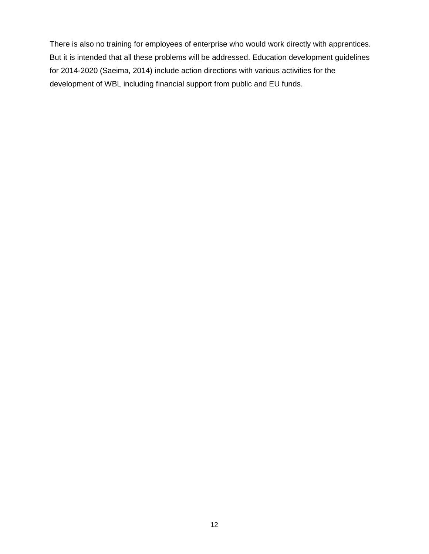There is also no training for employees of enterprise who would work directly with apprentices. But it is intended that all these problems will be addressed. Education development guidelines for 2014-2020 (Saeima, 2014) include action directions with various activities for the development of WBL including financial support from public and EU funds.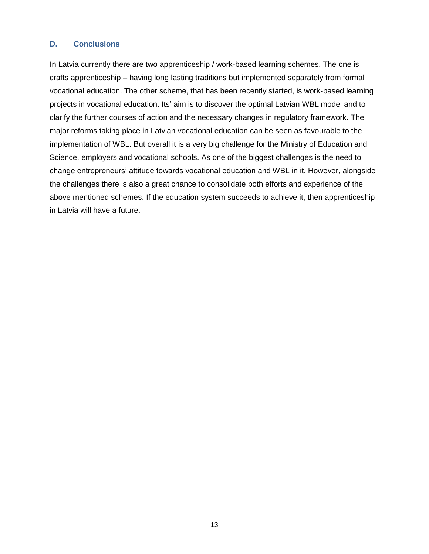#### <span id="page-14-0"></span>**D. Conclusions**

In Latvia currently there are two apprenticeship / work-based learning schemes. The one is crafts apprenticeship – having long lasting traditions but implemented separately from formal vocational education. The other scheme, that has been recently started, is work-based learning projects in vocational education. Its' aim is to discover the optimal Latvian WBL model and to clarify the further courses of action and the necessary changes in regulatory framework. The major reforms taking place in Latvian vocational education can be seen as favourable to the implementation of WBL. But overall it is a very big challenge for the Ministry of Education and Science, employers and vocational schools. As one of the biggest challenges is the need to change entrepreneurs' attitude towards vocational education and WBL in it. However, alongside the challenges there is also a great chance to consolidate both efforts and experience of the above mentioned schemes. If the education system succeeds to achieve it, then apprenticeship in Latvia will have a future.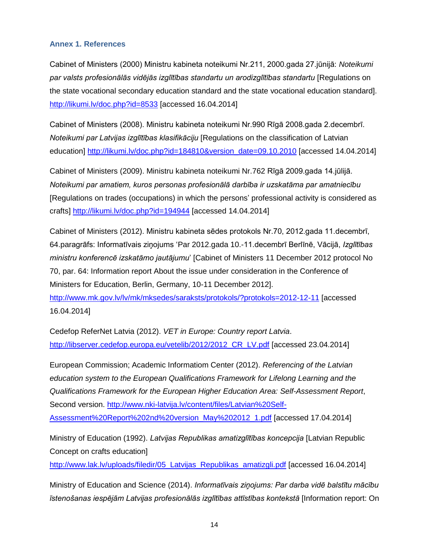#### <span id="page-15-0"></span>**Annex 1. References**

Cabinet of Ministers (2000) Ministru kabineta noteikumi Nr.211, 2000.gada 27.jūnijā: *Noteikumi par valsts profesionālās vidējās izglītības standartu un arodizglītības standartu* [Regulations on the state vocational secondary education standard and the state vocational education standard]. <http://likumi.lv/doc.php?id=8533> [accessed 16.04.2014]

Cabinet of Ministers (2008). Ministru kabineta noteikumi Nr.990 Rīgā 2008.gada 2.decembrī. *Noteikumi par Latvijas izglītības klasifikāciju* [Regulations on the classification of Latvian education] [http://likumi.lv/doc.php?id=184810&version\\_date=09.10.2010](http://likumi.lv/doc.php?id=184810&version_date=09.10.2010) [accessed 14.04.2014]

Cabinet of Ministers (2009). Ministru kabineta noteikumi Nr.762 Rīgā 2009.gada 14.jūlijā. *Noteikumi par amatiem, kuros personas profesionālā darbība ir uzskatāma par amatniecību* [Regulations on trades (occupations) in which the persons' professional activity is considered as crafts]<http://likumi.lv/doc.php?id=194944> [accessed 14.04.2014]

Cabinet of Ministers (2012). Ministru kabineta sēdes protokols Nr.70, 2012.gada 11.decembrī, 64.paragrāfs: Informatīvais ziņojums 'Par 2012.gada 10.-11.decembrī Berlīnē, Vācijā, *Izglītības ministru konferencē izskatāmo jautājumu*' [Cabinet of Ministers 11 December 2012 protocol No 70, par. 64: Information report About the issue under consideration in the Conference of Ministers for Education, Berlin, Germany, 10-11 December 2012].

<http://www.mk.gov.lv/lv/mk/mksedes/saraksts/protokols/?protokols=2012-12-11> [accessed 16.04.2014]

Cedefop ReferNet Latvia (2012). *VET in Europe: Country report Latvia*. [http://libserver.cedefop.europa.eu/vetelib/2012/2012\\_CR\\_LV.pdf](http://libserver.cedefop.europa.eu/vetelib/2012/2012_CR_LV.pdf) [accessed 23.04.2014]

European Commission; Academic Informatiom Center (2012). *Referencing of the Latvian education system to the European Qualifications Framework for Lifelong Learning and the Qualifications Framework for the European Higher Education Area: Self-Assessment Report*, Second version. [http://www.nki-latvija.lv/content/files/Latvian%20Self-](http://www.nki-latvija.lv/content/files/Latvian%20Self-Assessment%20Report%202nd%20version_May%202012_1.pdf)[Assessment%20Report%202nd%20version\\_May%202012\\_1.pdf](http://www.nki-latvija.lv/content/files/Latvian%20Self-Assessment%20Report%202nd%20version_May%202012_1.pdf) [accessed 17.04.2014]

Ministry of Education (1992). *Latvijas Republikas amatizglītības koncepcija* [Latvian Republic Concept on crafts education]

http://www.lak.lv/uploads/filedir/05 Latvijas Republikas amatizgli.pdf [accessed 16.04.2014]

Ministry of Education and Science (2014). *Informatīvais ziņojums: Par darba vidē balstītu mācību īstenošanas iespējām Latvijas profesionālās izglītības attīstības kontekstā* [Information report: On